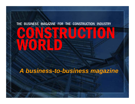# WORLD, THE BUSINESS MAGAZINE FOR THE CONSTRUCTION INDUSTRY

*A business-to-business magazine*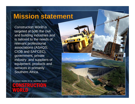### **Mission statement**

CATERPILLAR

*Construction World* is targeted at both the civil and building industries and is tailored to the needs of relevant professional associations (ASAQS, CIOB and SAFCEC), government, private industry and suppliers of equipment, products and services in primarily Southern Africa.

MAGAZINE FOR THE CONSTRUCTION INDUSTRY

STRUCTION WORLD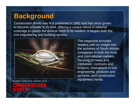### **Background**

*Construction World* was first published in 1982 and has since grown to become a leader in its field, offering a unique blend of editorial coverage to satisfy the diverse need of its readers. It targets both the civil engineering and building sectors.



FOR THE CONSTRUCTION INDUSTRY

WORLD

**RUGHON** 

The magazine provides readers with an insight into the activities of South African companies in both the local and international markets, focusing on news and interviews, contracts and projects, innovations in civil engineering, products and services, and construction equipment trends.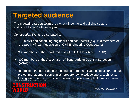### **Targeted audience**

The magazine targets *both* the civil engineering and building sectors and is published 12 times a year.

*Construction World* is distributed to:

- • 1 350 civil and consulting engineers and contractors (e.g. 400 members of the South African Federation of Civil Engineering Contractors)
- $\bullet$ 900 members of the Chartered Institute of Builders Africa (CIOB)
- • 800 members of the Association of South African Quantity Surveyors (ASAQS)

THE BUSINESS MAGAZINE FOR THE CONSTRUCTION INDUSTRY• In addition, the publication is distributed to mechanical-electrical contractors, project management companies, property owners/developers, architects, local government, construction material suppliers and plant hire companies.

STRUCTION WORLD

\*ABC (Oct – Dec 2010): 4 713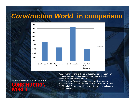### *Construction World* **in comparison**



THE BUSINESS MAGAZINE FOR THE CONSTRUCTION INDUSTRY

**CONSTRUCTION** 

WORLD

\**Construction World* is the only diversifying publication that crosses over and is distributed to members of the civil, commercial and private industry.

\*\**Civil Engineering* – tracks infrastructure development.

\*\*\**Construction Review* – construction in sub-Saharan Africa. \*\*\*\**The Civil Engineering Contractor* – focuses on excellence in

civil engineering.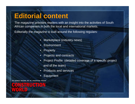### **Editorial content**

The magazine provides readers with an insight into the activities of South African companies in both the local and international markets.

Editorially the magazine is built around the following regulars:

- •Marketplace (industry news)
- •**Environment**
- •Property
- •Projects and contracts
- • Project Profile (detailed coverage of a specific project and of the team)
- •Products and services
- •Equipment

THE BUSINESS MAGAZINE FOR THE CONSTRUCTION INDUSTRY

**CONSTRUCTION** WORLD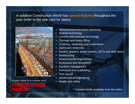#### In addition *Construction World* has special features throughout the year (refer to the rate card for dates)



THE BUSINESS MAGAZINE FOR THE CONSTRUCTION INDUSTRY

**CONSTRUCTION** WORLD

- •Admixtures/construction chemicals
- •Asphalt technology
- •Cement and concrete technology
- •Carnage and heavy lifting
- •Crushing, screening and reclamation
- •Dams and reservoirs
- •Dozers, graders, wheel loaders, ADTs and skid steers
- •**Earthmoving**
- •Environmental engineering
- •Explosives and demolition
- •Facilities management
- •Formwork and scaffolding
- •Fuel and oil
- •Geotechnical engineering
- •Health and safety

\* Detailed briefs available from the editor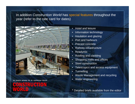#### In addition *Construction World* has special features throughout the year (refer to the rate card for dates)



THE BUSINESS MAGAZINE FOR THE CONSTRUCTION INDUSTRY

WORLD

# **STRUCTION**

- •Hotel and leisure
- •Information technology
- •Insulation and glazing
- •Port and harbours
- •Precast concrete
- Railway infrastructure
- •Readymix
- •Roofing and cladding
- •Shopping malls and offices
- •Steel construction
- •Telescopics and access equipment
- •**Tunnelling**
- •Waste Management and recycling
- •Water engineering
- \* Detailed briefs available from the editor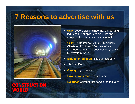### **7 Reasons to advertise with us**



THE BUSINESS MAGAZINE FOR THE CONSTRUCTION

### **Balanced** editorial that serves the industry **CONSTRUCTION** WORLD

- **USP:** Covers civil engineering, the building industry and suppliers of products and equipment for the construction industry
- **USP:** Distributed to SAFCEC members, Chartered Institute of Builders Africa members, and the Association of Quantity Surveyors (ASAQS)
- •**Biggest circulation** in its sub-category
- •ABC certified
- •**Glossy,** high quality product
- •**Proved track record** of 29 years
- •